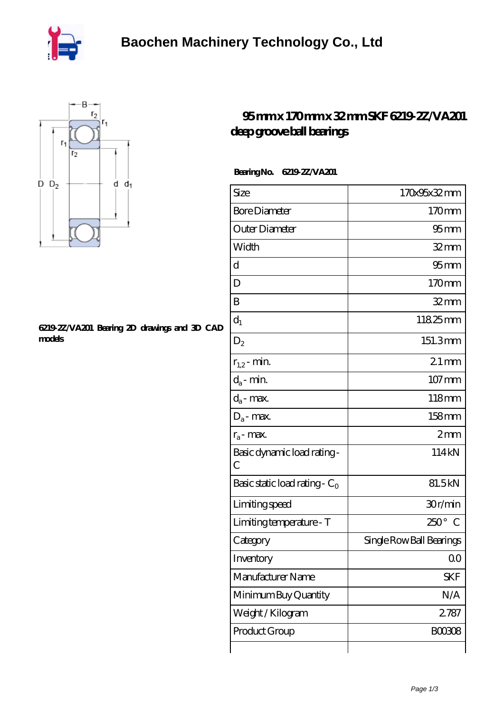



## **[6219-2Z/VA201 Bearing 2D drawings and 3D CAD](https://m.poutnik.net/pic-36745.html) [models](https://m.poutnik.net/pic-36745.html)**

## **[95 mm x 170 mm x 32 mm SKF 6219-2Z/VA201](https://m.poutnik.net/az-36745-skf-6219-2z-va201-deep-groove-ball-bearings.html) [deep groove ball bearings](https://m.poutnik.net/az-36745-skf-6219-2z-va201-deep-groove-ball-bearings.html)**

## **Bearing No. 6219-2Z/VA201**

| Size                                         | 170x95x32mm                  |
|----------------------------------------------|------------------------------|
| <b>Bore Diameter</b>                         | 170mm                        |
| Outer Diameter                               | $95 \text{mm}$               |
| Width                                        | $32$ mm                      |
| d                                            | $95$ <sub>mm</sub>           |
| D                                            | 170mm                        |
| B                                            | $32$ mm                      |
| $d_1$                                        | 11825mm                      |
| $\mathrm{D}_2$                               | 151.3mm                      |
| $r_{1,2}$ - min.                             | $21 \,\mathrm{mm}$           |
| $d_a$ - min.                                 | $107 \,\mathrm{mm}$          |
| $d_a$ - max.                                 | 118mm                        |
| $D_a$ - max.                                 | 158mm                        |
| $r_a$ - max.                                 | 2mm                          |
| Basic dynamic load rating-<br>$\overline{C}$ | 114kN                        |
| Basic static load rating - $C_0$             | 81.5kN                       |
| Limiting speed                               | 30r/min                      |
| Limiting temperature - T                     | $250^\circ$<br>$\mathcal{C}$ |
| Category                                     | Single Row Ball Bearings     |
| Inventory                                    | QO                           |
| Manufacturer Name                            | SKF                          |
| Minimum Buy Quantity                         | N/A                          |
| Weight/Kilogram                              | 2787                         |
| Product Group                                | <b>BOO3O8</b>                |
|                                              |                              |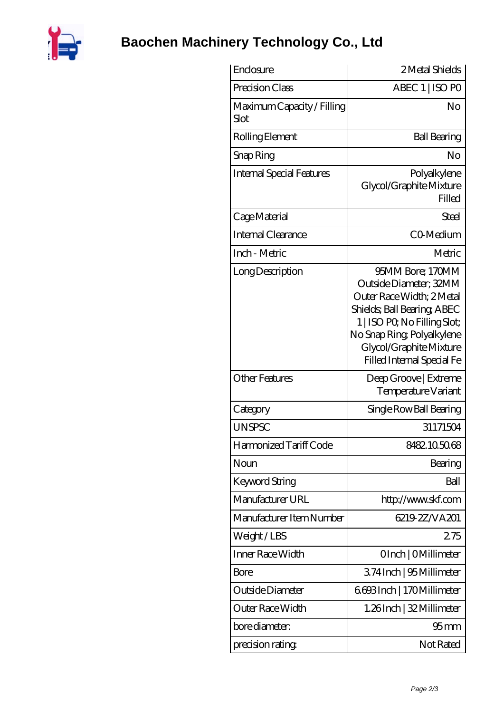

## **[Baochen Machinery Technology Co., Ltd](https://m.poutnik.net)**

| Enclosure                                 | 2 Metal Shields                                                                                                                                                                                                              |
|-------------------------------------------|------------------------------------------------------------------------------------------------------------------------------------------------------------------------------------------------------------------------------|
| Precision Class                           | ABEC 1   ISO PO                                                                                                                                                                                                              |
| Maximum Capacity / Filling<br><b>Slot</b> | No                                                                                                                                                                                                                           |
| Rolling Element                           | <b>Ball Bearing</b>                                                                                                                                                                                                          |
| Snap Ring                                 | No                                                                                                                                                                                                                           |
| <b>Internal Special Features</b>          | Polyalkylene<br>Glycol/Graphite Mixture<br>Filled                                                                                                                                                                            |
| Cage Material                             | Steel                                                                                                                                                                                                                        |
| Internal Clearance                        | CO-Medium                                                                                                                                                                                                                    |
| Inch - Metric                             | Metric                                                                                                                                                                                                                       |
| Long Description                          | 95MM Bore; 170MM<br>Outside Diameter; 32MM<br>Outer Race Width: 2Metal<br>Shields, Ball Bearing, ABEC<br>1   ISO PO, No Filling Slot;<br>No Snap Ring, Polyalkylene<br>Glycol/Graphite Mixture<br>Filled Internal Special Fe |
| <b>Other Features</b>                     | Deep Groove   Extreme<br>Temperature Variant                                                                                                                                                                                 |
| Category                                  | Single Row Ball Bearing                                                                                                                                                                                                      |
| <b>UNSPSC</b>                             | 31171504                                                                                                                                                                                                                     |
| Harmonized Tariff Code                    | 8482.105068                                                                                                                                                                                                                  |
| Noun                                      | Bearing                                                                                                                                                                                                                      |
| Keyword String                            | Ball                                                                                                                                                                                                                         |
| Manufacturer URL                          | http://www.skf.com                                                                                                                                                                                                           |
| Manufacturer Item Number                  | 6219 2Z NA201                                                                                                                                                                                                                |
| Weight/LBS                                | 275                                                                                                                                                                                                                          |
| Inner Race Width                          | OInch   OMillimeter                                                                                                                                                                                                          |
| Bore                                      | 374 Inch   95 Millimeter                                                                                                                                                                                                     |
| Outside Diameter                          | 6693Inch   170Millimeter                                                                                                                                                                                                     |
| Outer Race Width                          | 1.26Inch   32 Millimeter                                                                                                                                                                                                     |
| bore diameter:                            | $95 \text{mm}$                                                                                                                                                                                                               |
| precision rating                          | Not Rated                                                                                                                                                                                                                    |